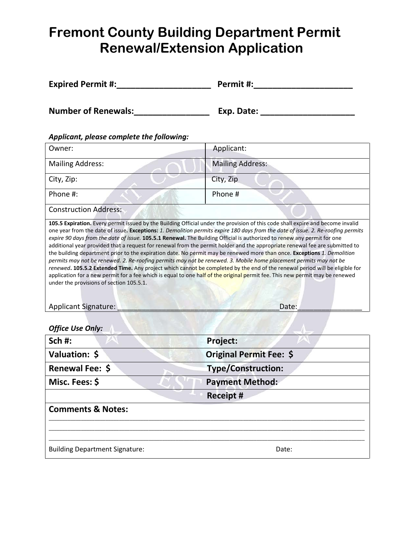## **Fremont County Building Department Permit Renewal/Extension Application**

| <b>Expired Permit #:</b>                                                                                                                                                                                                                                                                                                                                                                                                                                                                                                                            | Permit #:                                                                                                                                                                                                                                                                                                                                                                                                                                                                                                                         |
|-----------------------------------------------------------------------------------------------------------------------------------------------------------------------------------------------------------------------------------------------------------------------------------------------------------------------------------------------------------------------------------------------------------------------------------------------------------------------------------------------------------------------------------------------------|-----------------------------------------------------------------------------------------------------------------------------------------------------------------------------------------------------------------------------------------------------------------------------------------------------------------------------------------------------------------------------------------------------------------------------------------------------------------------------------------------------------------------------------|
| <b>Number of Renewals:</b>                                                                                                                                                                                                                                                                                                                                                                                                                                                                                                                          | Exp. Date: $\sqrt{2\pi}$                                                                                                                                                                                                                                                                                                                                                                                                                                                                                                          |
| Applicant, please complete the following:                                                                                                                                                                                                                                                                                                                                                                                                                                                                                                           |                                                                                                                                                                                                                                                                                                                                                                                                                                                                                                                                   |
| Owner:                                                                                                                                                                                                                                                                                                                                                                                                                                                                                                                                              | Applicant:                                                                                                                                                                                                                                                                                                                                                                                                                                                                                                                        |
| <b>Mailing Address:</b>                                                                                                                                                                                                                                                                                                                                                                                                                                                                                                                             | <b>Mailing Address:</b>                                                                                                                                                                                                                                                                                                                                                                                                                                                                                                           |
| City, Zip:                                                                                                                                                                                                                                                                                                                                                                                                                                                                                                                                          | City, Zip                                                                                                                                                                                                                                                                                                                                                                                                                                                                                                                         |
| Phone #:                                                                                                                                                                                                                                                                                                                                                                                                                                                                                                                                            | Phone #                                                                                                                                                                                                                                                                                                                                                                                                                                                                                                                           |
| <b>Construction Address:</b>                                                                                                                                                                                                                                                                                                                                                                                                                                                                                                                        |                                                                                                                                                                                                                                                                                                                                                                                                                                                                                                                                   |
| expire 90 days from the date of issue. 105.5.1 Renewal. The Building Official is authorized to renew any permit for one<br>the building department prior to the expiration date. No permit may be renewed more than once. Exceptions 1. Demolition<br>permits may not be renewed. 2. Re-roofing permits may not be renewed. 3. Mobile home placement permits may not be<br>application for a new permit for a fee which is equal to one half of the original permit fee. This new permit may be renewed<br>under the provisions of section 105.5.1. | 105.5 Expiration. Every permit issued by the Building Official under the provision of this code shall expire and become invalid<br>one year from the date of issue. Exceptions: 1. Demolition permits expire 180 days from the date of issue. 2. Re-roofing permits<br>additional year provided that a request for renewal from the permit holder and the appropriate renewal fee are submitted to<br>renewed. 105.5.2 Extended Time. Any project which cannot be completed by the end of the renewal period will be eligible for |

Applicant Signature: \_\_\_\_\_\_\_\_\_\_\_\_\_\_\_\_\_\_\_\_\_\_\_\_\_\_\_\_\_\_\_\_\_\_\_\_\_\_\_\_Date:\_\_\_\_\_\_\_\_\_\_\_\_\_\_\_\_

*Office Use Only:*

| <b>Project:</b>           |
|---------------------------|
| Original Permit Fee: \$   |
| <b>Type/Construction:</b> |
| <b>Payment Method:</b>    |
| <b>Receipt #</b>          |
|                           |
| Date:                     |
|                           |